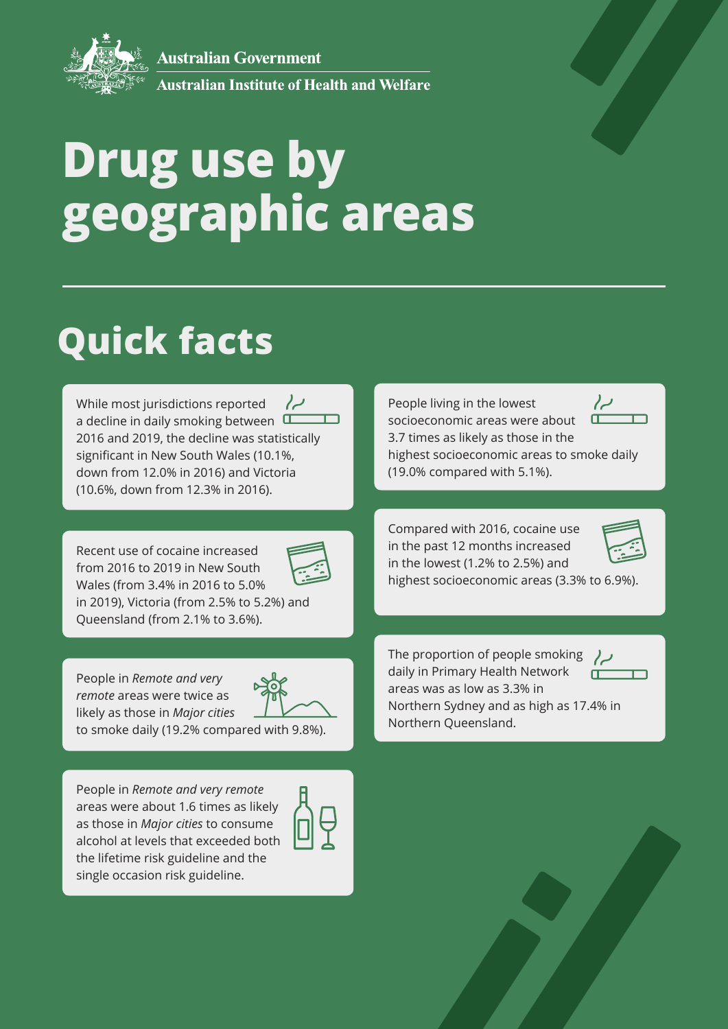**Australian Government** 



Australian Institute of Health and Welfare

# **Drug use by geographic areas**

## **Quick facts**

While most jurisdictions reported  $\sim$ a decline in daily smoking between  $\Box$ 2016 and 2019, the decline was statistically significant in New South Wales (10.1%, down from 12.0% in 2016) and Victoria (10.6%, down from 12.3% in 2016).

Recent use of cocaine increased from 2016 to 2019 in New South Wales (from 3.4% in 2016 to 5.0% in 2019), Victoria (from 2.5% to 5.2%) and



Queensland (from 2.1% to 3.6%).

People in *Remote and very remote* areas were twice as likely as those in *Major cities*

to smoke daily (19.2% compared with 9.8%).

People in *Remote and very remote* areas were about 1.6 times as likely as those in *Major cities* to consume alcohol at levels that exceeded both the lifetime risk guideline and the single occasion risk guideline.



 $\sim$ People living in the lowest socioeconomic areas were about 3.7 times as likely as those in the highest socioeconomic areas to smoke daily (19.0% compared with 5.1%).

Compared with 2016, cocaine use in the past 12 months increased

highest socioeconomic areas (3.3% to 6.9%).

in the lowest (1.2% to 2.5%) and



The proportion of people smoking daily in Primary Health Network areas was as low as 3.3% in Northern Sydney and as high as 17.4% in Northern Queensland.



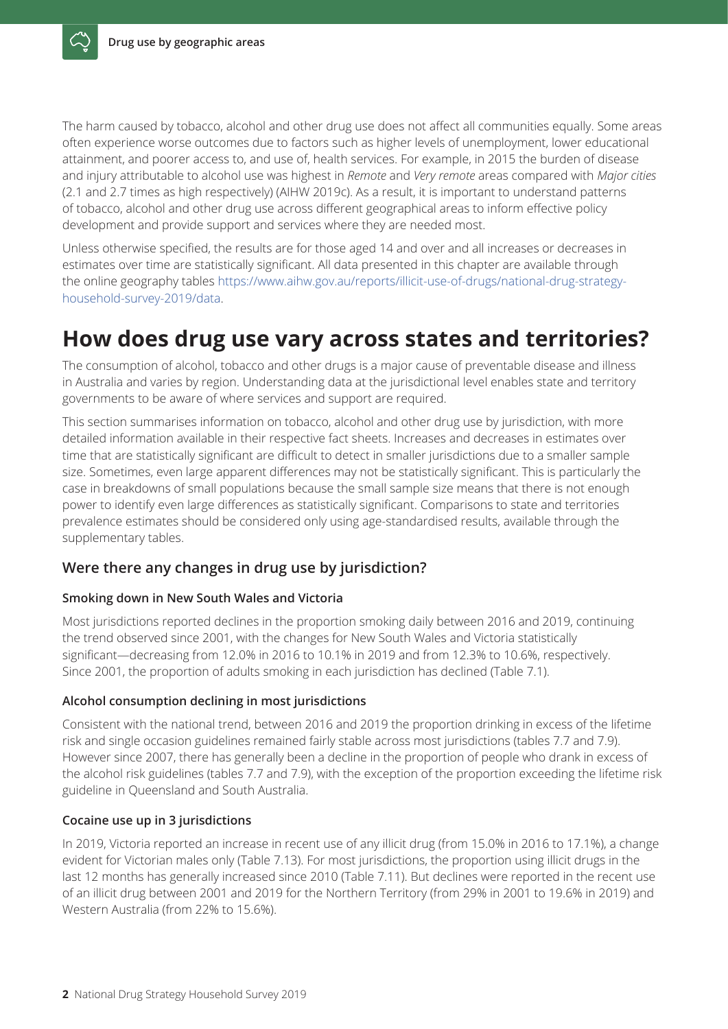The harm caused by tobacco, alcohol and other drug use does not affect all communities equally. Some areas often experience worse outcomes due to factors such as higher levels of unemployment, lower educational attainment, and poorer access to, and use of, health services. For example, in 2015 the burden of disease and injury attributable to alcohol use was highest in *Remote* and *Very remote* areas compared with *Major cities*  (2.1 and 2.7 times as high respectively) (AIHW 2019c). As a result, it is important to understand patterns of tobacco, alcohol and other drug use across different geographical areas to inform effective policy development and provide support and services where they are needed most.

Unless otherwise specified, the results are for those aged 14 and over and all increases or decreases in estimates over time are statistically significant. All data presented in this chapter are available through the online geography tables https://www.aihw.gov.au/reports/illicit-use-of-drugs/national-drug-strategyhousehold-survey-2019/data.

## **How does drug use vary across states and territories?**

The consumption of alcohol, tobacco and other drugs is a major cause of preventable disease and illness in Australia and varies by region. Understanding data at the jurisdictional level enables state and territory governments to be aware of where services and support are required.

This section summarises information on tobacco, alcohol and other drug use by jurisdiction, with more detailed information available in their respective fact sheets. Increases and decreases in estimates over time that are statistically significant are difficult to detect in smaller jurisdictions due to a smaller sample size. Sometimes, even large apparent differences may not be statistically significant. This is particularly the case in breakdowns of small populations because the small sample size means that there is not enough power to identify even large differences as statistically significant. Comparisons to state and territories prevalence estimates should be considered only using age-standardised results, available through the supplementary tables.

#### **Were there any changes in drug use by jurisdiction?**

#### **Smoking down in New South Wales and Victoria**

Most jurisdictions reported declines in the proportion smoking daily between 2016 and 2019, continuing the trend observed since 2001, with the changes for New South Wales and Victoria statistically significant—decreasing from 12.0% in 2016 to 10.1% in 2019 and from 12.3% to 10.6%, respectively. Since 2001, the proportion of adults smoking in each jurisdiction has declined (Table 7.1).

#### **Alcohol consumption declining in most jurisdictions**

Consistent with the national trend, between 2016 and 2019 the proportion drinking in excess of the lifetime risk and single occasion guidelines remained fairly stable across most jurisdictions (tables 7.7 and 7.9). However since 2007, there has generally been a decline in the proportion of people who drank in excess of the alcohol risk guidelines (tables 7.7 and 7.9), with the exception of the proportion exceeding the lifetime risk guideline in Queensland and South Australia.

#### **Cocaine use up in 3 jurisdictions**

In 2019, Victoria reported an increase in recent use of any illicit drug (from 15.0% in 2016 to 17.1%), a change evident for Victorian males only (Table 7.13). For most jurisdictions, the proportion using illicit drugs in the last 12 months has generally increased since 2010 (Table 7.11). But declines were reported in the recent use of an illicit drug between 2001 and 2019 for the Northern Territory (from 29% in 2001 to 19.6% in 2019) and Western Australia (from 22% to 15.6%).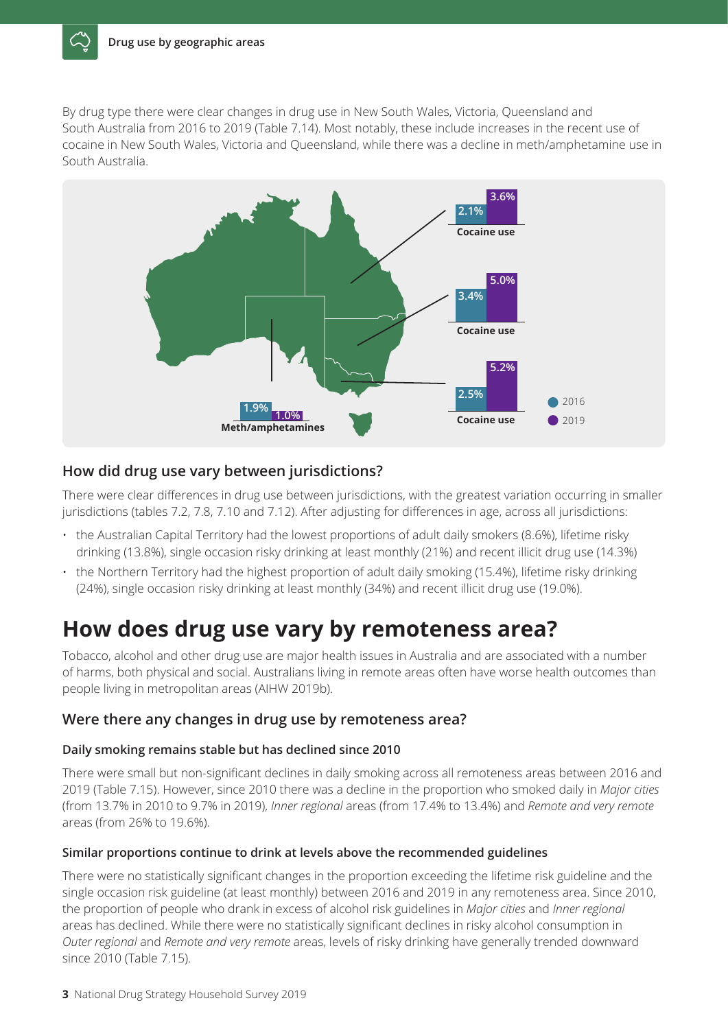By drug type there were clear changes in drug use in New South Wales, Victoria, Queensland and South Australia from 2016 to 2019 (Table 7.14). Most notably, these include increases in the recent use of cocaine in New South Wales, Victoria and Queensland, while there was a decline in meth/amphetamine use in South Australia.



#### **How did drug use vary between jurisdictions?**

There were clear differences in drug use between jurisdictions, with the greatest variation occurring in smaller jurisdictions (tables 7.2, 7.8, 7.10 and 7.12). After adjusting for differences in age, across all jurisdictions:

- the Australian Capital Territory had the lowest proportions of adult daily smokers (8.6%), lifetime risky drinking (13.8%), single occasion risky drinking at least monthly (21%) and recent illicit drug use (14.3%)
- the Northern Territory had the highest proportion of adult daily smoking (15.4%), lifetime risky drinking (24%), single occasion risky drinking at least monthly (34%) and recent illicit drug use (19.0%).

### **How does drug use vary by remoteness area?**

Tobacco, alcohol and other drug use are major health issues in Australia and are associated with a number of harms, both physical and social. Australians living in remote areas often have worse health outcomes than people living in metropolitan areas (AIHW 2019b).

#### **Were there any changes in drug use by remoteness area?**

#### **Daily smoking remains stable but has declined since 2010**

There were small but non-significant declines in daily smoking across all remoteness areas between 2016 and 2019 (Table 7.15). However, since 2010 there was a decline in the proportion who smoked daily in *Major cities* (from 13.7% in 2010 to 9.7% in 2019), *Inner regional* areas (from 17.4% to 13.4%) and *Remote and very remote* areas (from 26% to 19.6%).

#### **Similar proportions continue to drink at levels above the recommended guidelines**

There were no statistically significant changes in the proportion exceeding the lifetime risk guideline and the single occasion risk guideline (at least monthly) between 2016 and 2019 in any remoteness area. Since 2010, the proportion of people who drank in excess of alcohol risk guidelines in *Major cities* and *Inner regional*  areas has declined. While there were no statistically significant declines in risky alcohol consumption in *Outer regional* and *Remote and very remote* areas, levels of risky drinking have generally trended downward since 2010 (Table 7.15).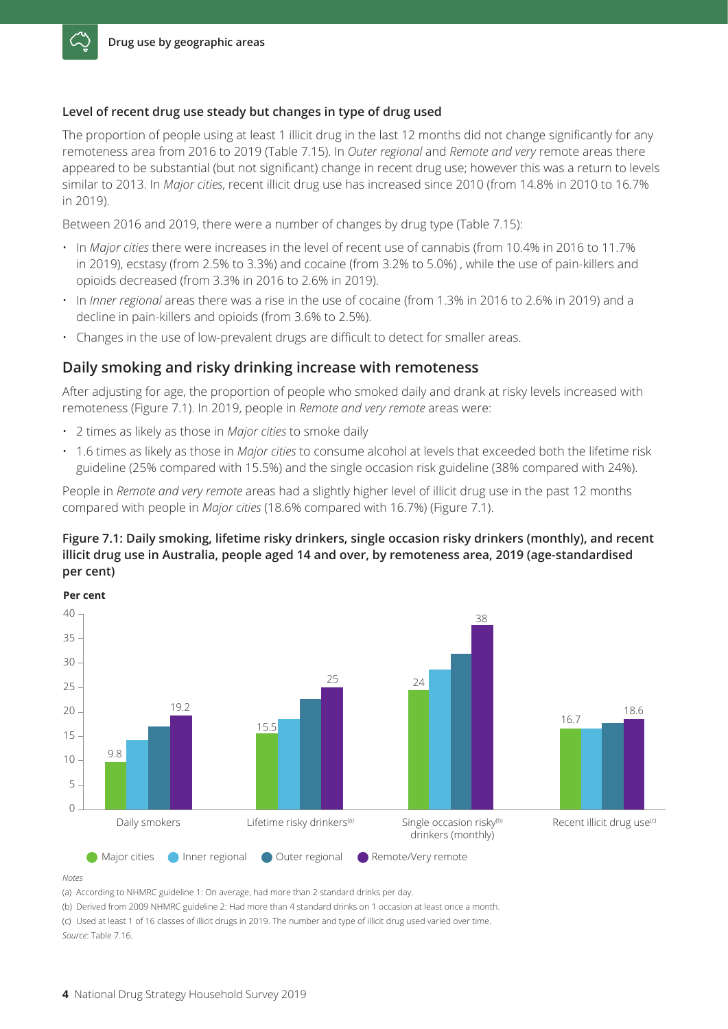#### **Level of recent drug use steady but changes in type of drug used**

The proportion of people using at least 1 illicit drug in the last 12 months did not change significantly for any remoteness area from 2016 to 2019 (Table 7.15). In *Outer regional* and *Remote and very* remote areas there appeared to be substantial (but not significant) change in recent drug use; however this was a return to levels similar to 2013. In *Major cities*, recent illicit drug use has increased since 2010 (from 14.8% in 2010 to 16.7% in 2019).

Between 2016 and 2019, there were a number of changes by drug type (Table 7.15):

- In *Major cities* there were increases in the level of recent use of cannabis (from 10.4% in 2016 to 11.7% in 2019), ecstasy (from 2.5% to 3.3%) and cocaine (from 3.2% to 5.0%) , while the use of pain-killers and opioids decreased (from 3.3% in 2016 to 2.6% in 2019).
- In *Inner regional* areas there was a rise in the use of cocaine (from 1.3% in 2016 to 2.6% in 2019) and a decline in pain-killers and opioids (from 3.6% to 2.5%).
- Changes in the use of low-prevalent drugs are difficult to detect for smaller areas.

#### **Daily smoking and risky drinking increase with remoteness**

After adjusting for age, the proportion of people who smoked daily and drank at risky levels increased with remoteness (Figure 7.1). In 2019, people in *Remote and very remote* areas were:

- 2 times as likely as those in *Major cities* to smoke daily
- 1.6 times as likely as those in *Major cities* to consume alcohol at levels that exceeded both the lifetime risk guideline (25% compared with 15.5%) and the single occasion risk guideline (38% compared with 24%).

People in *Remote and very remote* areas had a slightly higher level of illicit drug use in the past 12 months compared with people in *Major cities* (18.6% compared with 16.7%) (Figure 7.1).

#### **Figure 7.1: Daily smoking, lifetime risky drinkers, single occasion risky drinkers (monthly), and recent illicit drug use in Australia, people aged 14 and over, by remoteness area, 2019 (age‑standardised per cent)**



*Notes*

(a) According to NHMRC guideline 1: On average, had more than 2 standard drinks per day.

(b) Derived from 2009 NHMRC guideline 2: Had more than 4 standard drinks on 1 occasion at least once a month. (c) Used at least 1 of 16 classes of illicit drugs in 2019. The number and type of illicit drug used varied over time. *Source*: Table 7.16.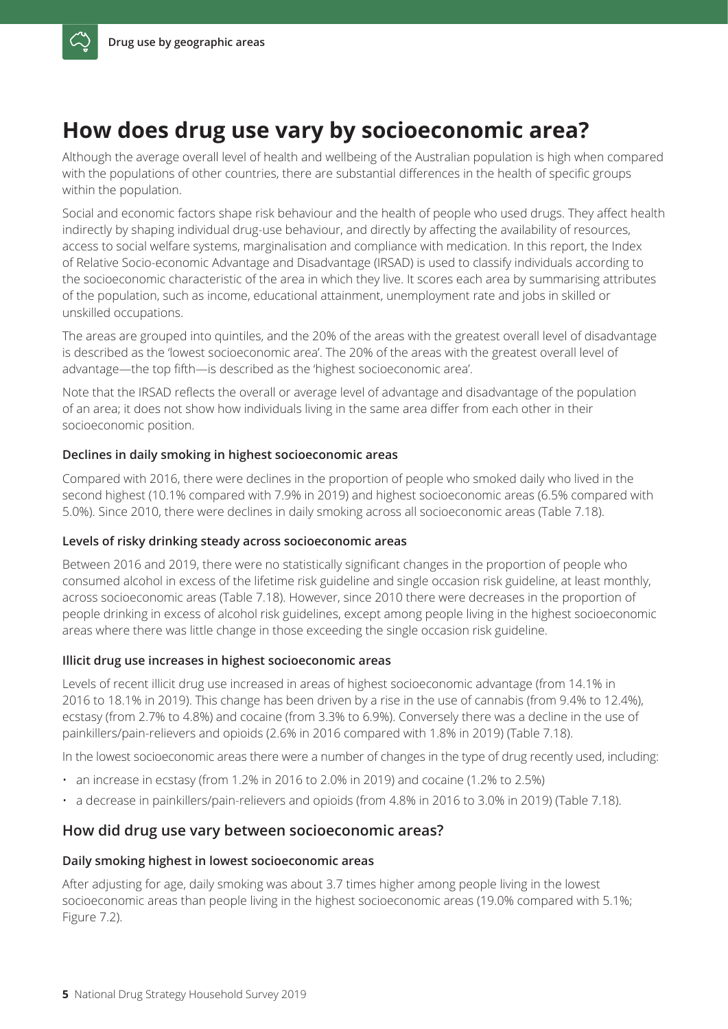## **How does drug use vary by socioeconomic area?**

Although the average overall level of health and wellbeing of the Australian population is high when compared with the populations of other countries, there are substantial differences in the health of specific groups within the population.

Social and economic factors shape risk behaviour and the health of people who used drugs. They affect health indirectly by shaping individual drug-use behaviour, and directly by affecting the availability of resources, access to social welfare systems, marginalisation and compliance with medication. In this report, the Index of Relative Socio-economic Advantage and Disadvantage (IRSAD) is used to classify individuals according to the socioeconomic characteristic of the area in which they live. It scores each area by summarising attributes of the population, such as income, educational attainment, unemployment rate and jobs in skilled or unskilled occupations.

The areas are grouped into quintiles, and the 20% of the areas with the greatest overall level of disadvantage is described as the 'lowest socioeconomic area'. The 20% of the areas with the greatest overall level of advantage—the top fifth—is described as the 'highest socioeconomic area'.

Note that the IRSAD reflects the overall or average level of advantage and disadvantage of the population of an area; it does not show how individuals living in the same area differ from each other in their socioeconomic position.

#### **Declines in daily smoking in highest socioeconomic areas**

Compared with 2016, there were declines in the proportion of people who smoked daily who lived in the second highest (10.1% compared with 7.9% in 2019) and highest socioeconomic areas (6.5% compared with 5.0%). Since 2010, there were declines in daily smoking across all socioeconomic areas (Table 7.18).

#### **Levels of risky drinking steady across socioeconomic areas**

Between 2016 and 2019, there were no statistically significant changes in the proportion of people who consumed alcohol in excess of the lifetime risk guideline and single occasion risk guideline, at least monthly, across socioeconomic areas (Table 7.18). However, since 2010 there were decreases in the proportion of people drinking in excess of alcohol risk guidelines, except among people living in the highest socioeconomic areas where there was little change in those exceeding the single occasion risk guideline.

#### **Illicit drug use increases in highest socioeconomic areas**

Levels of recent illicit drug use increased in areas of highest socioeconomic advantage (from 14.1% in 2016 to 18.1% in 2019). This change has been driven by a rise in the use of cannabis (from 9.4% to 12.4%), ecstasy (from 2.7% to 4.8%) and cocaine (from 3.3% to 6.9%). Conversely there was a decline in the use of painkillers/pain-relievers and opioids (2.6% in 2016 compared with 1.8% in 2019) (Table 7.18).

In the lowest socioeconomic areas there were a number of changes in the type of drug recently used, including:

- $\cdot$  an increase in ecstasy (from 1.2% in 2016 to 2.0% in 2019) and cocaine (1.2% to 2.5%)
- a decrease in painkillers/pain-relievers and opioids (from 4.8% in 2016 to 3.0% in 2019) (Table 7.18).

#### **How did drug use vary between socioeconomic areas?**

#### **Daily smoking highest in lowest socioeconomic areas**

After adjusting for age, daily smoking was about 3.7 times higher among people living in the lowest socioeconomic areas than people living in the highest socioeconomic areas (19.0% compared with 5.1%; Figure 7.2).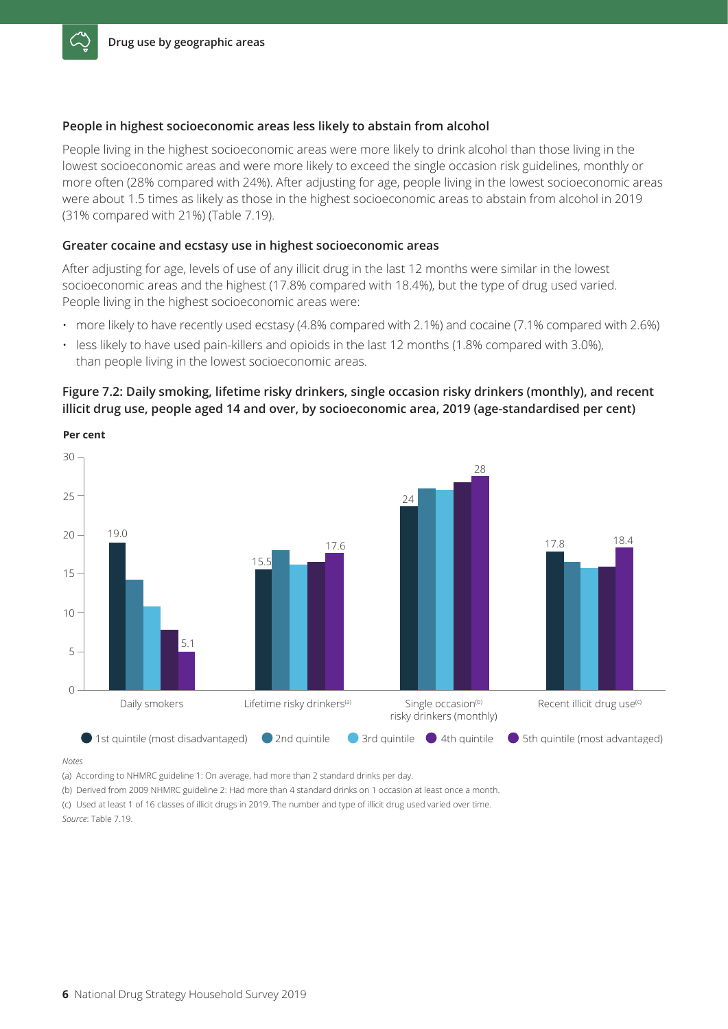#### **People in highest socioeconomic areas less likely to abstain from alcohol**

People living in the highest socioeconomic areas were more likely to drink alcohol than those living in the lowest socioeconomic areas and were more likely to exceed the single occasion risk guidelines, monthly or more often (28% compared with 24%). After adjusting for age, people living in the lowest socioeconomic areas were about 1.5 times as likely as those in the highest socioeconomic areas to abstain from alcohol in 2019 (31% compared with 21%) (Table 7.19).

#### **Greater cocaine and ecstasy use in highest socioeconomic areas**

After adjusting for age, levels of use of any illicit drug in the last 12 months were similar in the lowest socioeconomic areas and the highest (17.8% compared with 18.4%), but the type of drug used varied. People living in the highest socioeconomic areas were:

- more likely to have recently used ecstasy (4.8% compared with 2.1%) and cocaine (7.1% compared with 2.6%)
- less likely to have used pain-killers and opioids in the last 12 months (1.8% compared with 3.0%), than people living in the lowest socioeconomic areas.

#### **Figure 7.2: Daily smoking, lifetime risky drinkers, single occasion risky drinkers (monthly), and recent illicit drug use, people aged 14 and over, by socioeconomic area, 2019 (age‑standardised per cent)**



**Per cent**

*Notes*

(a) According to NHMRC guideline 1: On average, had more than 2 standard drinks per day.

(b) Derived from 2009 NHMRC guideline 2: Had more than 4 standard drinks on 1 occasion at least once a month.

(c) Used at least 1 of 16 classes of illicit drugs in 2019. The number and type of illicit drug used varied over time. *Source*: Table 7.19.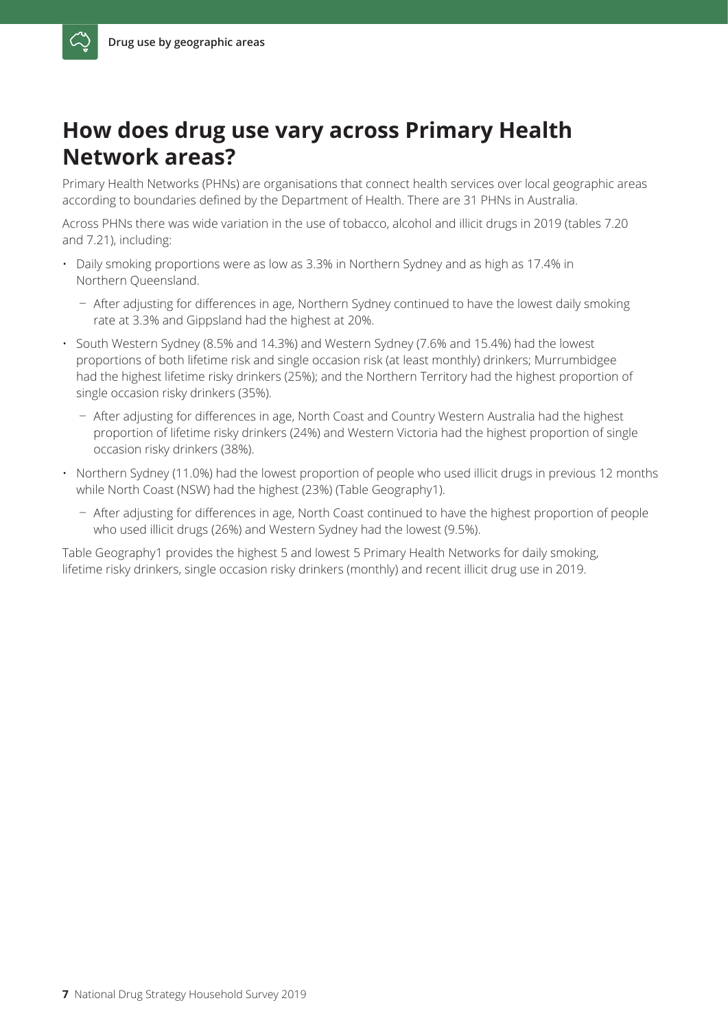## **How does drug use vary across Primary Health Network areas?**

Primary Health Networks (PHNs) are organisations that connect health services over local geographic areas according to boundaries defined by the Department of Health. There are 31 PHNs in Australia.

Across PHNs there was wide variation in the use of tobacco, alcohol and illicit drugs in 2019 (tables 7.20 and 7.21), including:

- Daily smoking proportions were as low as 3.3% in Northern Sydney and as high as 17.4% in Northern Queensland.
	- After adjusting for differences in age, Northern Sydney continued to have the lowest daily smoking rate at 3.3% and Gippsland had the highest at 20%.
- South Western Sydney (8.5% and 14.3%) and Western Sydney (7.6% and 15.4%) had the lowest proportions of both lifetime risk and single occasion risk (at least monthly) drinkers; Murrumbidgee had the highest lifetime risky drinkers (25%); and the Northern Territory had the highest proportion of single occasion risky drinkers (35%).
	- After adjusting for differences in age, North Coast and Country Western Australia had the highest proportion of lifetime risky drinkers (24%) and Western Victoria had the highest proportion of single occasion risky drinkers (38%).
- Northern Sydney (11.0%) had the lowest proportion of people who used illicit drugs in previous 12 months while North Coast (NSW) had the highest (23%) (Table Geography1).
	- ¯ After adjusting for differences in age, North Coast continued to have the highest proportion of people who used illicit drugs (26%) and Western Sydney had the lowest (9.5%).

Table Geography1 provides the highest 5 and lowest 5 Primary Health Networks for daily smoking, lifetime risky drinkers, single occasion risky drinkers (monthly) and recent illicit drug use in 2019.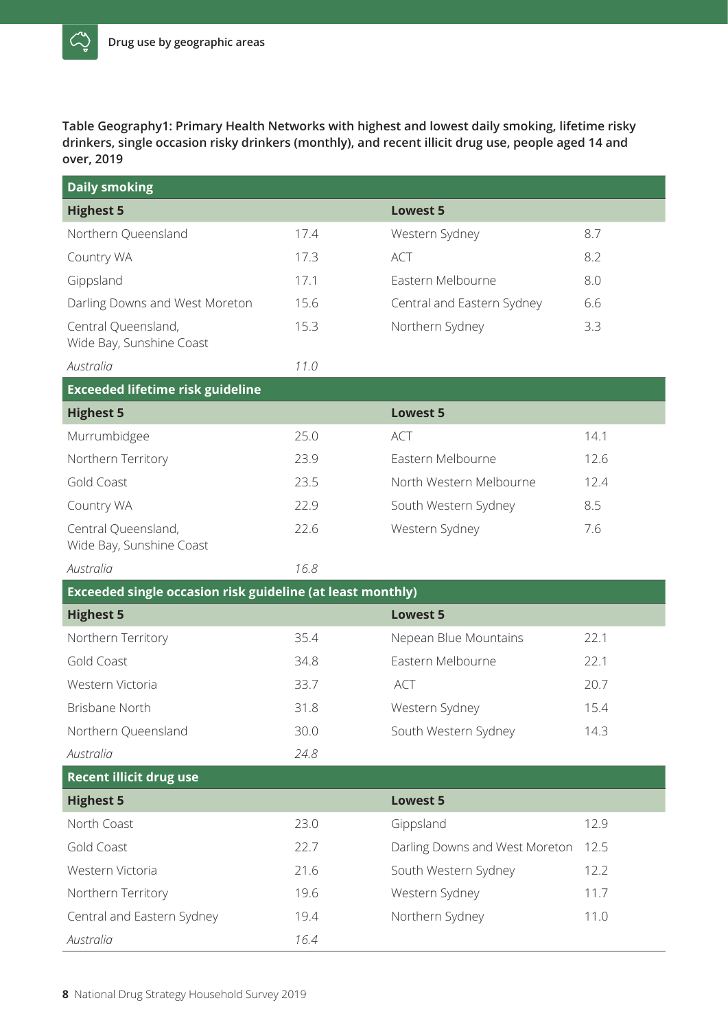$\mathbb{C}^{\prime}_{2}$ 

**Table Geography1: Primary Health Networks with highest and lowest daily smoking, lifetime risky drinkers, single occasion risky drinkers (monthly), and recent illicit drug use, people aged 14 and over, 2019**

| <b>Daily smoking</b>                                       |      |                                |      |
|------------------------------------------------------------|------|--------------------------------|------|
| <b>Highest 5</b>                                           |      | <b>Lowest 5</b>                |      |
| Northern Queensland                                        | 17.4 | Western Sydney                 | 8.7  |
| Country WA                                                 | 17.3 | <b>ACT</b>                     | 8.2  |
| Gippsland                                                  | 17.1 | Eastern Melbourne              | 8.0  |
| Darling Downs and West Moreton                             | 15.6 | Central and Eastern Sydney     | 6.6  |
| Central Queensland,<br>Wide Bay, Sunshine Coast            | 15.3 | Northern Sydney                | 3.3  |
| Australia                                                  | 11.0 |                                |      |
| <b>Exceeded lifetime risk guideline</b>                    |      |                                |      |
| <b>Highest 5</b>                                           |      | <b>Lowest 5</b>                |      |
| Murrumbidgee                                               | 25.0 | <b>ACT</b>                     | 14.1 |
| Northern Territory                                         | 23.9 | Eastern Melbourne              | 12.6 |
| Gold Coast                                                 | 23.5 | North Western Melbourne        | 12.4 |
| Country WA                                                 | 22.9 | South Western Sydney           | 8.5  |
| Central Queensland,<br>Wide Bay, Sunshine Coast            | 22.6 | Western Sydney                 | 7.6  |
| Australia                                                  | 16.8 |                                |      |
| Exceeded single occasion risk guideline (at least monthly) |      |                                |      |
| <b>Highest 5</b>                                           |      | <b>Lowest 5</b>                |      |
| Northern Territory                                         | 35.4 | Nepean Blue Mountains          | 22.1 |
| Gold Coast                                                 | 34.8 | Eastern Melbourne              | 22.1 |
| Western Victoria                                           | 33.7 | <b>ACT</b>                     | 20.7 |
| Brisbane North                                             | 31.8 | Western Sydney                 | 15.4 |
| Northern Queensland                                        | 30.0 | South Western Sydney           | 14.3 |
| Australia                                                  | 24.8 |                                |      |
| <b>Recent illicit drug use</b>                             |      |                                |      |
| <b>Highest 5</b>                                           |      | <b>Lowest 5</b>                |      |
| North Coast                                                | 23.0 | Gippsland                      | 12.9 |
| Gold Coast                                                 | 22.7 | Darling Downs and West Moreton | 12.5 |
| Western Victoria                                           | 21.6 | South Western Sydney           | 12.2 |
| Northern Territory                                         | 19.6 | Western Sydney                 | 11.7 |
| Central and Eastern Sydney                                 | 19.4 | Northern Sydney                | 11.0 |
| Australia                                                  | 16.4 |                                |      |